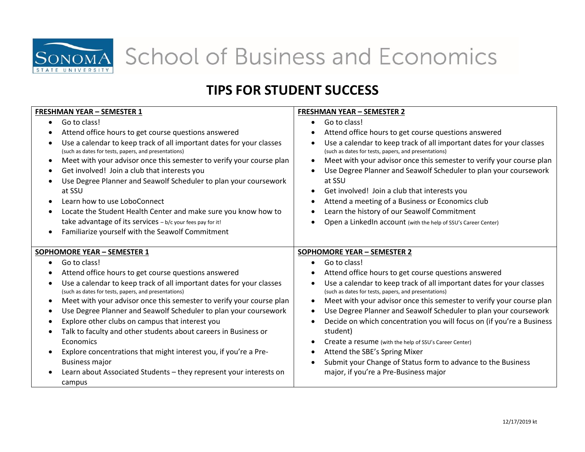

School of Business and Economics

## **TIPS FOR STUDENT SUCCESS**

| <b>FRESHMAN YEAR - SEMESTER 1</b>                                                                                                                                                                                                                                                                                                                                                                                                                                                                                                                                                                                                                                | <b>FRESHMAN YEAR - SEMESTER 2</b>                                                                                                                                                                                                                                                                                                                                                                                                                                                                                                                                                                                                                                                             |
|------------------------------------------------------------------------------------------------------------------------------------------------------------------------------------------------------------------------------------------------------------------------------------------------------------------------------------------------------------------------------------------------------------------------------------------------------------------------------------------------------------------------------------------------------------------------------------------------------------------------------------------------------------------|-----------------------------------------------------------------------------------------------------------------------------------------------------------------------------------------------------------------------------------------------------------------------------------------------------------------------------------------------------------------------------------------------------------------------------------------------------------------------------------------------------------------------------------------------------------------------------------------------------------------------------------------------------------------------------------------------|
| Go to class!<br>$\bullet$<br>Attend office hours to get course questions answered<br>Use a calendar to keep track of all important dates for your classes<br>(such as dates for tests, papers, and presentations)<br>Meet with your advisor once this semester to verify your course plan<br>Get involved! Join a club that interests you<br>Use Degree Planner and Seawolf Scheduler to plan your coursework<br>at SSU<br>Learn how to use LoboConnect<br>Locate the Student Health Center and make sure you know how to<br>take advantage of its services - b/c your fees pay for it!<br>Familiarize yourself with the Seawolf Commitment                      | Go to class!<br>$\bullet$<br>Attend office hours to get course questions answered<br>Use a calendar to keep track of all important dates for your classes<br>(such as dates for tests, papers, and presentations)<br>Meet with your advisor once this semester to verify your course plan<br>$\bullet$<br>Use Degree Planner and Seawolf Scheduler to plan your coursework<br>$\bullet$<br>at SSU<br>Get involved! Join a club that interests you<br>$\bullet$<br>Attend a meeting of a Business or Economics club<br>$\bullet$<br>Learn the history of our Seawolf Commitment<br>Open a LinkedIn account (with the help of SSU's Career Center)                                              |
| SOPHOMORE YEAR - SEMESTER 1                                                                                                                                                                                                                                                                                                                                                                                                                                                                                                                                                                                                                                      | <b>SOPHOMORE YEAR - SEMESTER 2</b>                                                                                                                                                                                                                                                                                                                                                                                                                                                                                                                                                                                                                                                            |
| Go to class!<br>Attend office hours to get course questions answered<br>Use a calendar to keep track of all important dates for your classes<br>(such as dates for tests, papers, and presentations)<br>Meet with your advisor once this semester to verify your course plan<br>Use Degree Planner and Seawolf Scheduler to plan your coursework<br>Explore other clubs on campus that interest you<br>Talk to faculty and other students about careers in Business or<br>Economics<br>Explore concentrations that might interest you, if you're a Pre-<br><b>Business major</b><br>Learn about Associated Students - they represent your interests on<br>campus | Go to class!<br>Attend office hours to get course questions answered<br>Use a calendar to keep track of all important dates for your classes<br>(such as dates for tests, papers, and presentations)<br>Meet with your advisor once this semester to verify your course plan<br>$\bullet$<br>Use Degree Planner and Seawolf Scheduler to plan your coursework<br>$\bullet$<br>Decide on which concentration you will focus on (if you're a Business<br>$\bullet$<br>student)<br>Create a resume (with the help of SSU's Career Center)<br>$\bullet$<br>Attend the SBE's Spring Mixer<br>Submit your Change of Status form to advance to the Business<br>major, if you're a Pre-Business major |